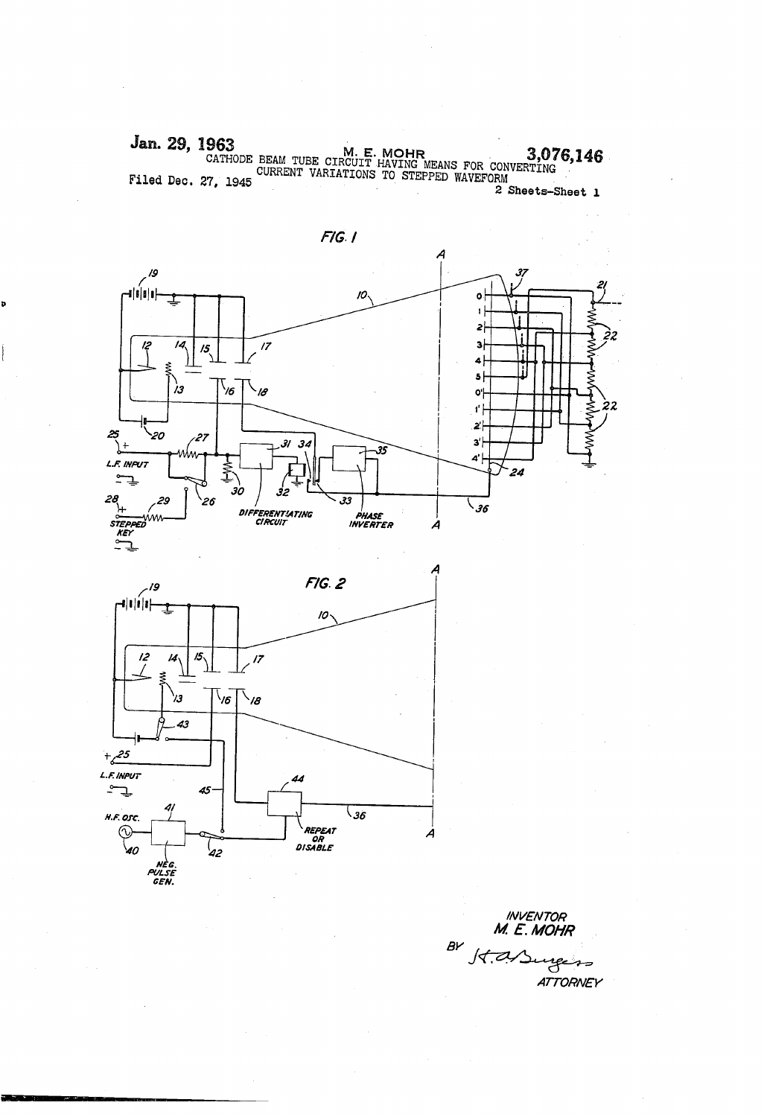Jan. 29, 1963<br>CATHODE BEAM TUBE CIRCUIT HAVING MEANS FOR CONVERTING<br>CURRENT VARIATIONS TO STEPPED WAVEFORM<br>2 Sheets-Sheet 1





**INVENTOR**<br>M. E. MOHR BY St. A/Surgers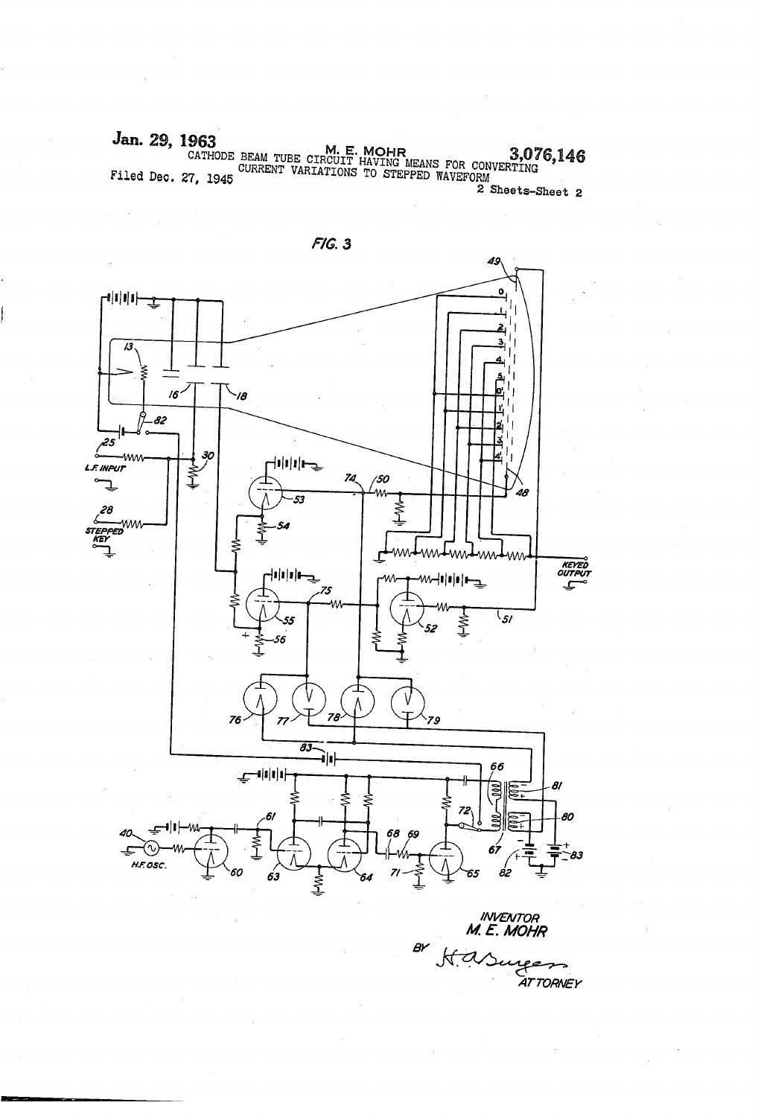Jan. 29, 1963<br>CATHODE BEAM TUBE CIRCUIT HAVING MEANS FOR CONVERTING 6.146 Filed Dec. 27, 1945 COMMERT VARIATIONS TO STEPPED WAVEFORM 2 Sheets-Sheet 2



uweuron M. E. MOHR  $B<sup>2</sup>$  $\mathcal{M}% _{0}=\mathcal{M}_{0}=\mathcal{M}_{0}=\mathcal{M}_{0}=\mathcal{M}_{0}=\mathcal{M}_{0}=\mathcal{M}% _{0}=\mathcal{M}_{0}=\mathcal{M}_{0}=\mathcal{M}_{0}=\mathcal{M}% _{0}=\mathcal{M}_{0}=\mathcal{M}_{0}=\mathcal{M}% _{0}=\mathcal{M}_{0}=\mathcal{M}_{0}=\mathcal{M}% _{0}=\mathcal{M}_{0}=\mathcal{M}_{0}=\mathcal{M}% _{0}=\mathcal{M}_{0}=\mathcal{M}% _{0}=\mathcal{M}_{0}=\mathcal{M}% _{0}=\mathcal{M}_{0}=\mathcal{$ ATTORNEY

 $F/G.3$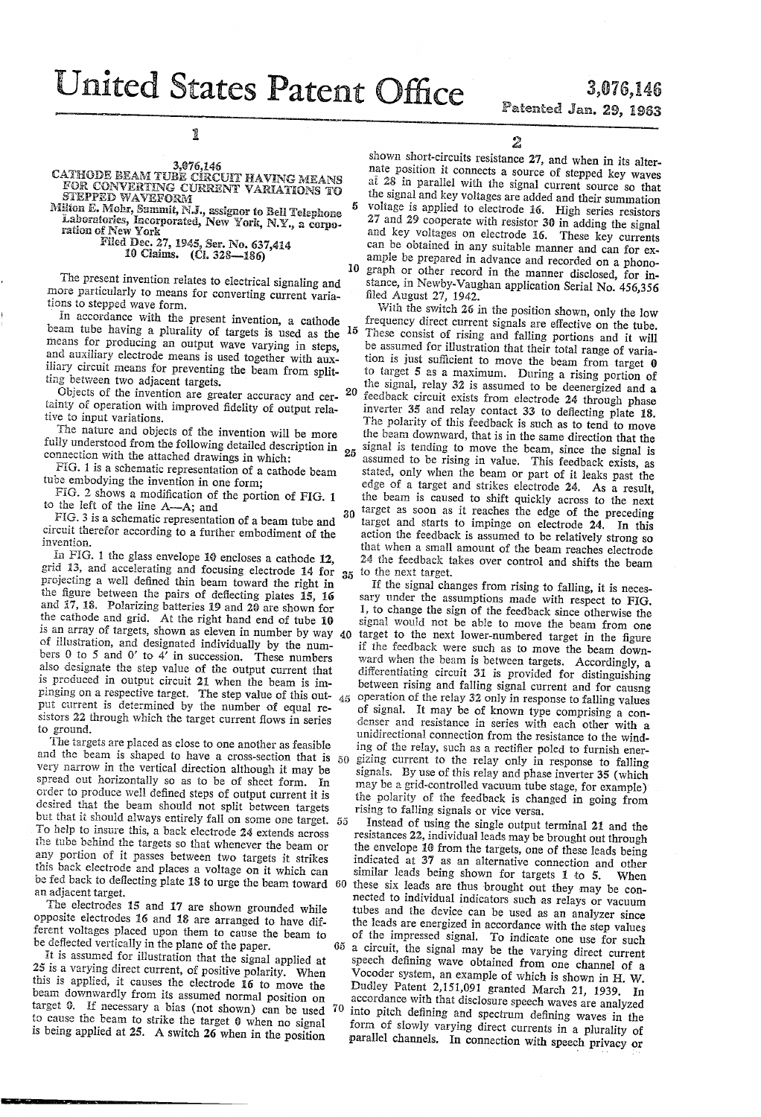United States Patent Office

 $\boldsymbol{5}$ 

10

65

## 3,076,146 Patented Jan. 29, 1963

1

3,076,146<br>CATHODE BEAM TUBE CIRCUIT HAVING MEANS<br>FOR CONVERTING CURRENT VARIATIONS TO

STEPPED WAVEFORM Milton E. Mohr, Summit, N.J., assignor to Bell Telephone

Laboratories, Incorporated, New York, N.Y., a corporation of New York Filed Dec. 27, 1945, Ser. No. 637,414

10 Claims. (Cl. 328-186)

The present invention relates to electrical signaling and more particularly to means for converting current variations to stepped wave form.

In accordance with the present invention, a cathode beam tube having a plurality of targets is used as the 15 means for producing an output wave varying in steps, and auxiliary electrode means is used together with auxiliary circuit means for preventing the beam from splitting between two adjacent targets.

Objects of the invention are greater accuracy and cer- 20 tainty of operation with improved fidelity of output relative to input variations.

The nature and objects of the invention will be more fully understood from the following detailed description in connection with the attached drawings in which:

FIG. 1 is a schematic representation of a cathode beam tube embodying the invention in one form:

FIG. 2 shows a modification of the portion of FIG. 1 to the left of the line A-A; and

FIG. 3 is a schematic representation of a beam tube and circuit therefor according to a further embodiment of the invention.

In FIG. 1 the glass envelope 10 encloses a cathode 12, grid 13, and accelerating and focusing electrode 14 for  $25$ projecting a well defined thin beam toward the right in the figure between the pairs of deflecting plates 15, 16 and 17, 18. Polarizing batteries 19 and 20 are shown for the cathode and grid. At the right hand end of tube 10 is an array of targets, shown as eleven in number by way 40 of illustration, and designated individually by the numbers  $0$  to  $5$  and  $0'$  to  $4'$  in succession. These numbers also designate the step value of the output current that is produced in output circuit 21 when the beam is impinging on a respective target. The step value of this out-<br>put current is determined by the number of equal re- $45$ sistors 22 through which the target current flows in series to ground.

The targets are placed as close to one another as feasible and the beam is shaped to have a cross-section that is  $50$ very narrow in the vertical direction although it may be spread out horizontally so as to be of sheet form. In order to produce well defined steps of output current it is desired that the beam should not split between targets but that it should always entirely fall on some one target. 55 To help to insure this, a back electrode 24 extends across the tube behind the targets so that whenever the beam or any portion of it passes between two targets it strikes this back electrode and places a voltage on it which can be fed back to deflecting plate 18 to urge the beam toward 60 an adjacent target.

The electrodes 15 and 17 are shown grounded while opposite electrodes 16 and 18 are arranged to have different voltages placed upon them to cause the beam to be deflected vertically in the plane of the paper.

It is assumed for illustration that the signal applied at 25 is a varying direct current, of positive polarity. When this is applied, it causes the electrode 16 to move the beam downwardly from its assumed normal position on target 0. If necessary a bias (not shown) can be used 70 to cause the beam to strike the target 0 when no signal is being applied at 25. A switch 26 when in the position

2

shown short-circuits resistance 27, and when in its alternate position it connects a source of stepped key waves at 28 in parallel with the signal current source so that the signal and key voltages are added and their summation voltage is applied to electrode 16. High series resistors 27 and 29 cooperate with resistor 30 in adding the signal and key voltages on electrode 16. These key currents can be obtained in any suitable manner and can for example be prepared in advance and recorded on a phonograph or other record in the manner disclosed, for instance, in Newby-Vaughan application Serial No. 456,356 filed August 27, 1942.

With the switch 26 in the position shown, only the low frequency direct current signals are effective on the tube. These consist of rising and falling portions and it will be assumed for illustration that their total range of variation is just sufficient to move the beam from target  $\theta$ to target 5 as a maximum. During a rising portion of the signal, relay 32 is assumed to be deenergized and a feedback circuit exists from electrode 24 through phase inverter 35 and relay contact 33 to deflecting plate 18. The polarity of this feedback is such as to tend to move the beam downward, that is in the same direction that the signal is tending to move the beam, since the signal is  $25 \frac{1}{2}$ assumed to be rising in value. This feedback exists, as stated, only when the beam or part of it leaks past the edge of a target and strikes electrode 24. As a result, the beam is caused to shift quickly across to the next target as soon as it reaches the edge of the preceding 30 target and starts to impinge on electrode 24. In this action the feedback is assumed to be relatively strong so that when a small amount of the beam reaches electrode 24 the feedback takes over control and shifts the beam to the next target.

If the signal changes from rising to falling, it is necessary under the assumptions made with respect to FIG. 1, to change the sign of the feedback since otherwise the signal would not be able to move the beam from one target to the next lower-numbered target in the figure if the feedback were such as to move the beam downward when the beam is between targets. Accordingly, a differentiating circuit 31 is provided for distinguishing between rising and falling signal current and for causng operation of the relay 32 only in response to falling values of signal. It may be of known type comprising a condenser and resistance in series with each other with a unidirectional connection from the resistance to the winding of the relay, such as a rectifier poled to furnish energizing current to the relay only in response to falling signals. By use of this relay and phase inverter 35 (which may be a grid-controlled vacuum tube stage, for example) the polarity of the feedback is changed in going from rising to falling signals or vice versa.

Instead of using the single output terminal 21 and the resistances 22, individual leads may be brought out through the envelope 10 from the targets, one of these leads being indicated at 37 as an alternative connection and other similar leads being shown for targets 1 to 5. When these six leads are thus brought out they may be connected to individual indicators such as relays or vacuum tubes and the device can be used as an analyzer since the leads are energized in accordance with the step values of the impressed signal. To indicate one use for such a circuit, the signal may be the varying direct current speech defining wave obtained from one channel of a Vocoder system, an example of which is shown in H. W. Dudley Patent 2,151,091 granted March 21, 1939. In accordance with that disclosure speech waves are analyzed into pitch defining and spectrum defining waves in the form of slowly varying direct currents in a plurality of parallel channels. In connection with speech privacy or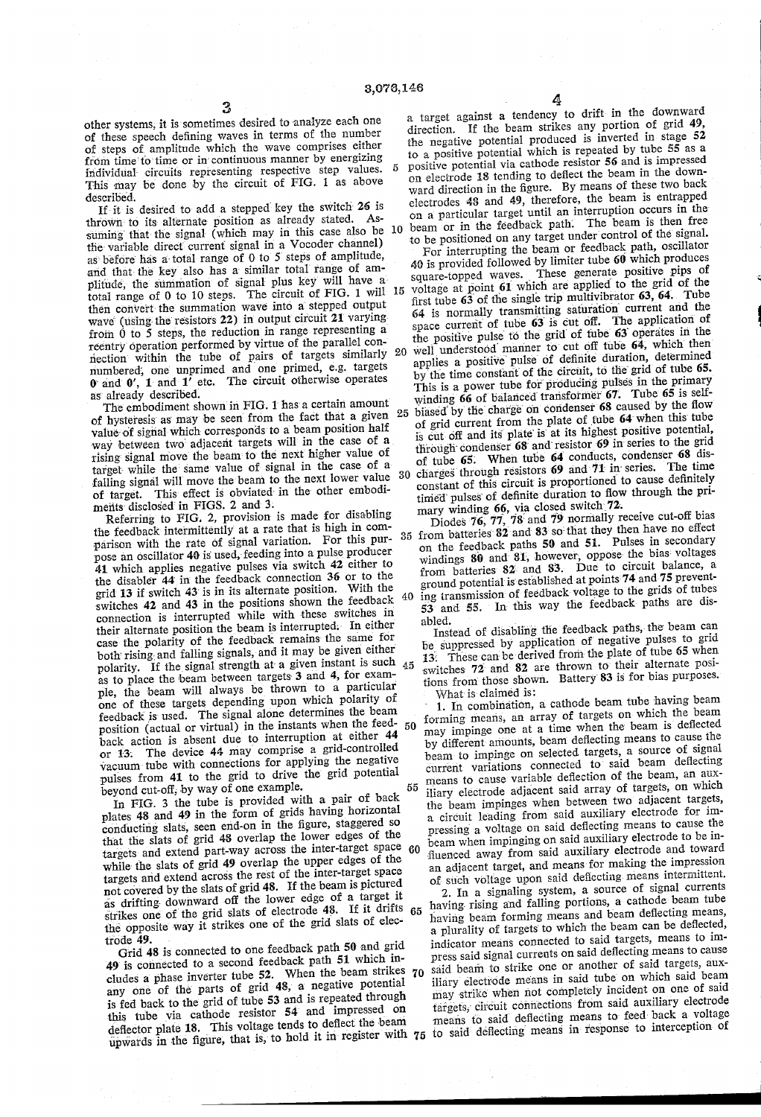$\tilde{n}$ 

3<br>other systems, it is sometimes desired to analyze each one of these speech defining waves in terms of the number of steps of' amplitude which the wave comprises either from time to time or in continuous manner by energizing individual circuits representing respective step values. This may be done by the circuit of FIG. 1 as above described.

If it is desired to add a stepped key the switch  $26$  is thrown to its alternate position as already stated. Assuming that the signal (which may in this case also be  $10$ the' variable direct current signal in a Vocoder channel) as' before' has a'total range of O to 5 steps of amplitude, and that the key also has a similar total range of amplitude', the summation of signal- plus key will have a' total range of 0 to 10 steps. The circuit of FIG. 1 will  $15$ then convert the summation wave into a stepped output wave (using the resistors 22) in output circuit 21 varying from  $0$  to 5 steps, the reduction in range representing a reentry' operation performed by virtue of the parallel con nection within the tube of pairs of targets similarly numbered', one unprimed and one primed, e.g. targets  $0$  and  $0'$ ,  $1$  and  $1'$  etc. The circuit otherwise operates as' already described.

The embodiment shown in FIG. 1 has a certain amount of hysteresis as may be seen from the fact that a given  $25$ value of signal which corresponds to a beam position half way between two adjacent targets will in the case of a rising signal move the beam to the next higher value of target while the same value of signal in the case of a target while the' same value of signal in the case of a falling signal will move the beam to the next lower value 30 of target. This effect is obviated in the other embodiments disclosed in FIGS. 2 and 3.

Referring to FIG. 2, provision is made for disabling the feedback intermittently at a rate that is high in comparison with the rate of signal variation. For this purpose an oscillator 40 is used, feeding into a pulse producer 41 which applies negative pulses via switch 42 either to the disabler 44 in the feedback connection 36 or to the grid' 13 if switch 43' is in its alternate position. With the switches 42 and 43 in the positions shown the feedback  $40$ connection is interrupted while with these switches in case the polarity of the feedback remains the same for both rising and falling signals, and it may be given either as to place the beam between targets 3 and 4, for example, the beam will always be thrown to a particular one of these targets depending upon which polarity of feedback is used. The signal alone determines the beam position (actual or virtual) in the instants when the feed-<br>back action is absent due to interruption at either 44 or 13. The device 44 may comprise a grid-controlled vacuum tube with connections for applying the negative pulses from 41 to the grid to drive the' grid potential beyond cut-off, by way of one example. polarity. If the signal strength at a given instant is such 45 50

In FIG. 3 the tube is provided with a pair of back plates 48 and 49 in the form of grids having horizontal that the slats of grid 48 overlap the lower edges of the targets and extend part-way across the inter-target space 60 while the slats of grid 49 overlap the upper edges of the targets and extend across the rest of the inter-target space<br>not covered by the slats of grid 48. If the beam is pictured as drifting downward off the lower edge of a target it strikes one of the grid slats of electrode 48. If it drifts the opposite way it strikes one of the grid slats of elec trode 49. 55 65

Grid 48 is connected to one feedback path 50 and grid 49 is connected to a second feedback path 51 which in cludes a phase inverter tube 52. When the beam strikes any one of the parts of grid 48, a negative potential is fed back to the grid of tube 53 and is repeated through this tube via cathode resistor 54 and impressed on deflector plate 18. This voltage tends to deflect the beam deflector plate 18. This voltage tends to deflect the settler  $\tau_5$  to said deflecting means in response to interception of 70

 $\frac{4}{4}$  a target against a tendency to drift in the downward direction. If the beam strikes any portion of grid 49, the negative potential produced is inverted in stage  $52$  to a positive potential which is repeated by tube  $55$  as a positive potential via cathode resistor 56 and is impressed on electrode 18 tending to deflect the beam in the downward direction in the figure. By means of these two back<br>electrodes 48 and 49, therefore, the beam is entrapped on a particular target until an interruption occurs in the beam or in the feedback path'. The beam is then free to be positioned on any target under control of the signal. For interrupting the beam or feedback path, oscillator 40 is provided followed by limiter tube 60 which produces square-topped waves. These generate positive pips of voltage at point 61 which are applied to the grid of the

first tube 63 of the single trip multivibrator 63, 64. Tube 64 is normally transmitting saturation current and the space current of tube  $63$  is cut off. The application of the positive pulse to the grid of tube 63 operates in the well understood manner to cut off tube 64, which then applies a positive pulse of definite duration, determined by the time constant of the circuit, to the grid of tube 65. This is a power tube for producing pulses in the primary winding  $66$  of balanced transformer  $67$ . Tube  $65$  is selfbiased by the charge on condenser 68 caused by the flow of grid current from the plate of tube 64' when this' tube is cut off and its plate is at its highest positive potential, through condenser  $68$  and resistor  $69$  in series to the grid of tube  $65$ . When tube  $64$  conducts, condenser  $68$  discharges' through resistors 69 and 71 in' series. The time constant of this circuit is proportioned to cause definitely timed pulses of definite duration to flow through the pri-

35 mary winding 66, via closed switch  $72$ .<br>Diodes 76, 77, 78 and 79 normally receive cut-off bias from batteries  $82$  and  $83$  so that they then have no effect on the feedback paths  $50$  and  $51$ . Pulses in secondary windings 80 and 81, however, oppose the bias voltages from batteries 82 and 83. Due to circuit balance, a ground potential is established at points 74 and 75 preventing transmission of feedback voltage to the grids of tubes

53 and 55. In' this way the feedback paths are dis

abled. Instead of disabling the feedback paths, the beam can be suppressed by application of negative pulses to grid 13. These can be derived from the plate of tube 65 when switches 72 and 82 are thrown to their alternate positions from' those shown. Battery' 83 is for bias purposes. What is'claimed is:

1. In combination, a cathode beam tube having beam forming means, an array of targets on which the beam may impinge one at a time when the beam is deflected by different amounts, beam deflecting means to cause the beam to impinge on selected targets, a source of signal current variations connected to said beam deflecting means to cause variable deflection of the beam, an aux iliary electrode adjacent said array of targets, on which the beam impinges when between two adjacent targets, a circuit leading from said auxiliary electrode for impressing a voltage on said deflecting means to cause the beam when impinging on said auxiliary electrode to be in an adjacent target, and means for making the impression of such voltage upon said deflecting means intermittent.

2. In a signaling system, a source of signal currents having rising and falling portions, a cathode beam tube having beam forming means and beam deflecting means, a plurality of targets to which the beam can be deflected, indicator means connected to said targets, means to im press said signal currents on said deflecting means to cause said beam to strike one or another of said targets, aux iliary electrode means in said tube on which said beam may strike when not completely incident on one of said targets, circuit connections from said auxiliary electrode means to said deflecting means to feed back a voltage